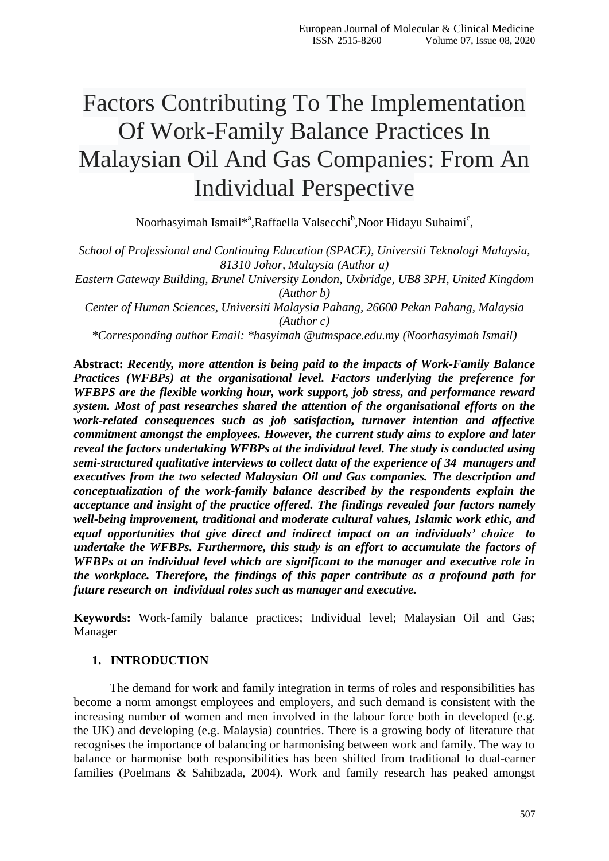# Factors Contributing To The Implementation Of Work-Family Balance Practices In Malaysian Oil And Gas Companies: From An Individual Perspective

Noorhasyimah Ismail\*<sup>a</sup>,Raffaella Valsecchi<sup>b</sup>,Noor Hidayu Suhaimi<sup>c</sup>,

*School of Professional and Continuing Education (SPACE), Universiti Teknologi Malaysia, 81310 Johor, Malaysia (Author a) Eastern Gateway Building, Brunel University London, Uxbridge, UB8 3PH, United Kingdom*

*(Author b)*

*Center of Human Sciences, Universiti Malaysia Pahang, 26600 Pekan Pahang, Malaysia (Author c)*

*\*Corresponding author Email: \*hasyimah @utmspace.edu.my (Noorhasyimah Ismail)*

**Abstract:** *Recently, more attention is being paid to the impacts of Work-Family Balance Practices (WFBPs) at the organisational level. Factors underlying the preference for WFBPS are the flexible working hour, work support, job stress, and performance reward system. Most of past researches shared the attention of the organisational efforts on the work-related consequences such as job satisfaction, turnover intention and affective commitment amongst the employees. However, the current study aims to explore and later reveal the factors undertaking WFBPs at the individual level. The study is conducted using semi-structured qualitative interviews to collect data of the experience of 34 managers and executives from the two selected Malaysian Oil and Gas companies. The description and conceptualization of the work-family balance described by the respondents explain the acceptance and insight of the practice offered. The findings revealed four factors namely well-being improvement, traditional and moderate cultural values, Islamic work ethic, and equal opportunities that give direct and indirect impact on an individuals' choice to undertake the WFBPs. Furthermore, this study is an effort to accumulate the factors of WFBPs at an individual level which are significant to the manager and executive role in the workplace. Therefore, the findings of this paper contribute as a profound path for future research on individual roles such as manager and executive.*

**Keywords:** Work-family balance practices; Individual level; Malaysian Oil and Gas; Manager

### **1. INTRODUCTION**

The demand for work and family integration in terms of roles and responsibilities has become a norm amongst employees and employers, and such demand is consistent with the increasing number of women and men involved in the labour force both in developed (e.g. the UK) and developing (e.g. Malaysia) countries. There is a growing body of literature that recognises the importance of balancing or harmonising between work and family. The way to balance or harmonise both responsibilities has been shifted from traditional to dual-earner families (Poelmans & Sahibzada, 2004). Work and family research has peaked amongst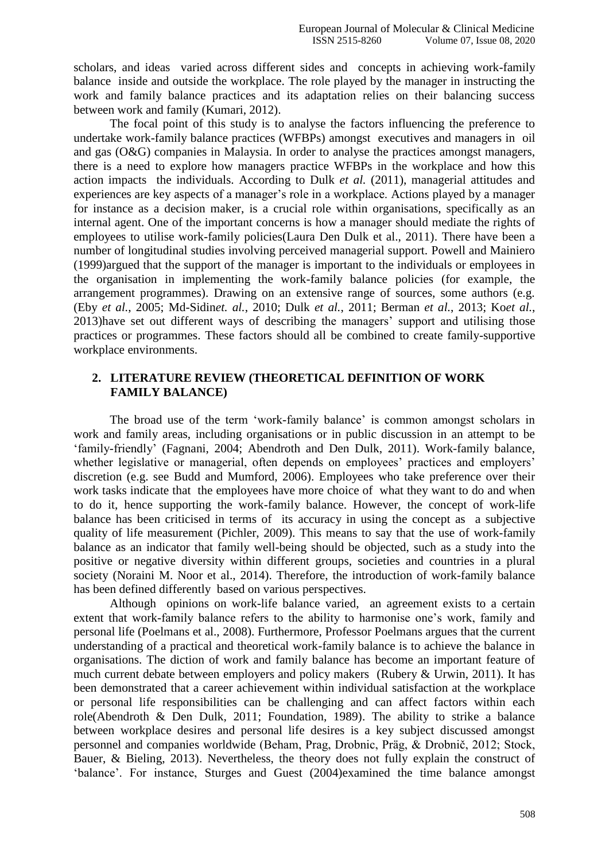scholars, and ideas varied across different sides and concepts in achieving work-family balance inside and outside the workplace. The role played by the manager in instructing the work and family balance practices and its adaptation relies on their balancing success between work and family (Kumari, 2012).

The focal point of this study is to analyse the factors influencing the preference to undertake work-family balance practices (WFBPs) amongst executives and managers in oil and gas (O&G) companies in Malaysia. In order to analyse the practices amongst managers, there is a need to explore how managers practice WFBPs in the workplace and how this action impacts the individuals. According to Dulk *et al.* (2011), managerial attitudes and experiences are key aspects of a manager's role in a workplace. Actions played by a manager for instance as a decision maker, is a crucial role within organisations, specifically as an internal agent. One of the important concerns is how a manager should mediate the rights of employees to utilise work-family policies(Laura Den Dulk et al., 2011). There have been a number of longitudinal studies involving perceived managerial support. Powell and Mainiero (1999)argued that the support of the manager is important to the individuals or employees in the organisation in implementing the work-family balance policies (for example, the arrangement programmes). Drawing on an extensive range of sources, some authors (e.g. (Eby *et al.*, 2005; Md-Sidin*et. al.*, 2010; Dulk *et al.*, 2011; Berman *et al.*, 2013; Ko*et al.*, 2013)have set out different ways of describing the managers" support and utilising those practices or programmes. These factors should all be combined to create family-supportive workplace environments.

# **2. LITERATURE REVIEW (THEORETICAL DEFINITION OF WORK FAMILY BALANCE)**

The broad use of the term 'work-family balance' is common amongst scholars in work and family areas, including organisations or in public discussion in an attempt to be "family-friendly" (Fagnani, 2004; Abendroth and Den Dulk, 2011). Work-family balance, whether legislative or managerial, often depends on employees' practices and employers' discretion (e.g. see Budd and Mumford, 2006). Employees who take preference over their work tasks indicate that the employees have more choice of what they want to do and when to do it, hence supporting the work-family balance. However, the concept of work-life balance has been criticised in terms of its accuracy in using the concept as a subjective quality of life measurement (Pichler, 2009). This means to say that the use of work-family balance as an indicator that family well-being should be objected, such as a study into the positive or negative diversity within different groups, societies and countries in a plural society (Noraini M. Noor et al., 2014). Therefore, the introduction of work-family balance has been defined differently based on various perspectives.

Although opinions on work-life balance varied, an agreement exists to a certain extent that work-family balance refers to the ability to harmonise one"s work, family and personal life (Poelmans et al., 2008). Furthermore, Professor Poelmans argues that the current understanding of a practical and theoretical work-family balance is to achieve the balance in organisations. The diction of work and family balance has become an important feature of much current debate between employers and policy makers (Rubery & Urwin, 2011). It has been demonstrated that a career achievement within individual satisfaction at the workplace or personal life responsibilities can be challenging and can affect factors within each role(Abendroth & Den Dulk, 2011; Foundation, 1989). The ability to strike a balance between workplace desires and personal life desires is a key subject discussed amongst personnel and companies worldwide (Beham, Prag, Drobnic, Präg, & Drobnič, 2012; Stock, Bauer, & Bieling, 2013). Nevertheless, the theory does not fully explain the construct of "balance". For instance, Sturges and Guest (2004)examined the time balance amongst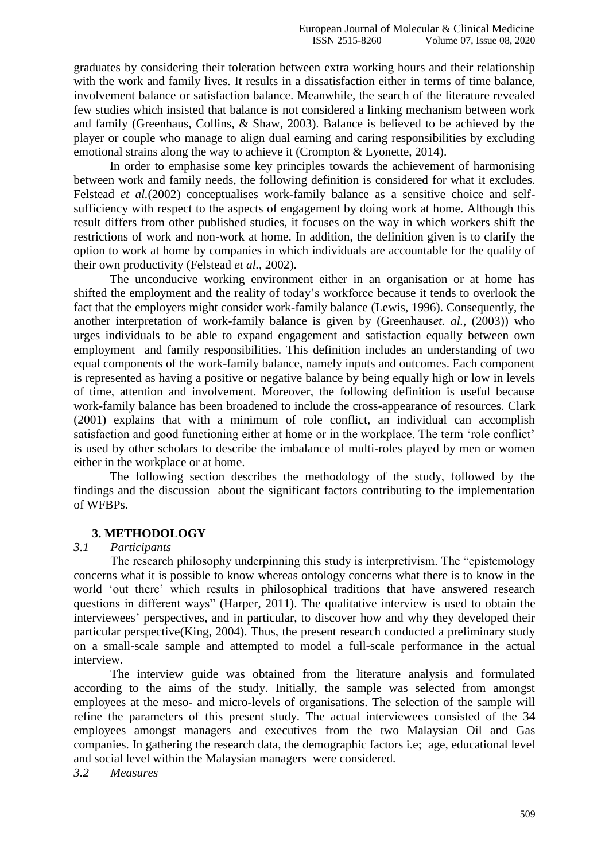graduates by considering their toleration between extra working hours and their relationship with the work and family lives. It results in a dissatisfaction either in terms of time balance, involvement balance or satisfaction balance. Meanwhile, the search of the literature revealed few studies which insisted that balance is not considered a linking mechanism between work and family (Greenhaus, Collins, & Shaw, 2003). Balance is believed to be achieved by the player or couple who manage to align dual earning and caring responsibilities by excluding emotional strains along the way to achieve it (Crompton & Lyonette, 2014).

In order to emphasise some key principles towards the achievement of harmonising between work and family needs, the following definition is considered for what it excludes. Felstead *et al.*(2002) conceptualises work-family balance as a sensitive choice and selfsufficiency with respect to the aspects of engagement by doing work at home. Although this result differs from other published studies, it focuses on the way in which workers shift the restrictions of work and non-work at home. In addition, the definition given is to clarify the option to work at home by companies in which individuals are accountable for the quality of their own productivity (Felstead *et al.*, 2002).

The unconducive working environment either in an organisation or at home has shifted the employment and the reality of today"s workforce because it tends to overlook the fact that the employers might consider work-family balance (Lewis, 1996). Consequently, the another interpretation of work-family balance is given by (Greenhaus*et. al.*, (2003)) who urges individuals to be able to expand engagement and satisfaction equally between own employment and family responsibilities. This definition includes an understanding of two equal components of the work-family balance, namely inputs and outcomes. Each component is represented as having a positive or negative balance by being equally high or low in levels of time, attention and involvement. Moreover, the following definition is useful because work-family balance has been broadened to include the cross-appearance of resources. Clark (2001) explains that with a minimum of role conflict, an individual can accomplish satisfaction and good functioning either at home or in the workplace. The term "role conflict" is used by other scholars to describe the imbalance of multi-roles played by men or women either in the workplace or at home.

The following section describes the methodology of the study, followed by the findings and the discussion about the significant factors contributing to the implementation of WFBPs.

#### **3. METHODOLOGY**

#### *3.1 Participants*

The research philosophy underpinning this study is interpretivism. The "epistemology concerns what it is possible to know whereas ontology concerns what there is to know in the world "out there" which results in philosophical traditions that have answered research questions in different ways" (Harper, 2011). The qualitative interview is used to obtain the interviewees' perspectives, and in particular, to discover how and why they developed their particular perspective(King, 2004). Thus, the present research conducted a preliminary study on a small-scale sample and attempted to model a full-scale performance in the actual interview.

The interview guide was obtained from the literature analysis and formulated according to the aims of the study. Initially, the sample was selected from amongst employees at the meso- and micro-levels of organisations. The selection of the sample will refine the parameters of this present study. The actual interviewees consisted of the 34 employees amongst managers and executives from the two Malaysian Oil and Gas companies. In gathering the research data, the demographic factors i.e; age, educational level and social level within the Malaysian managers were considered.

*3.2 Measures*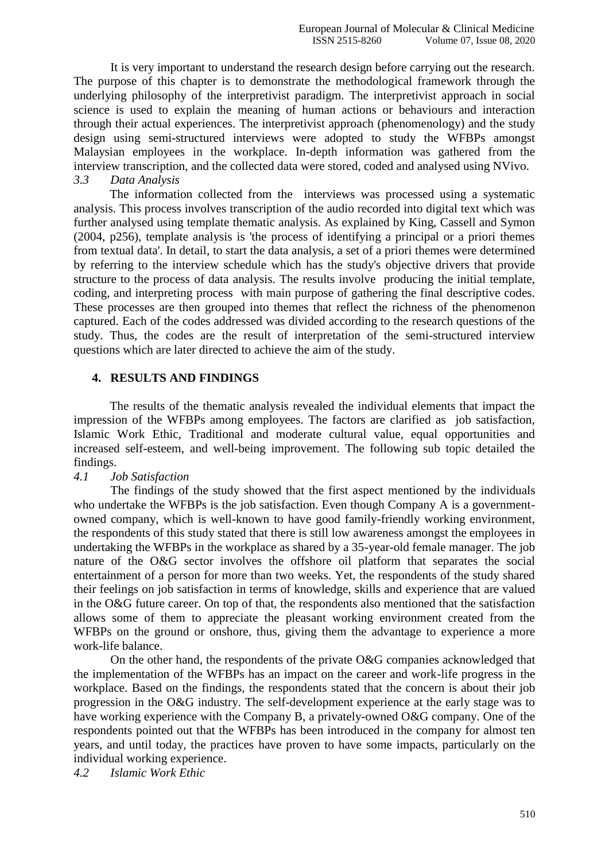It is very important to understand the research design before carrying out the research. The purpose of this chapter is to demonstrate the methodological framework through the underlying philosophy of the interpretivist paradigm. The interpretivist approach in social science is used to explain the meaning of human actions or behaviours and interaction through their actual experiences. The interpretivist approach (phenomenology) and the study design using semi-structured interviews were adopted to study the WFBPs amongst Malaysian employees in the workplace. In-depth information was gathered from the interview transcription, and the collected data were stored, coded and analysed using NVivo. *3.3 Data Analysis*

The information collected from the interviews was processed using a systematic analysis. This process involves transcription of the audio recorded into digital text which was further analysed using template thematic analysis. As explained by King, Cassell and Symon (2004, p256), template analysis is 'the process of identifying a principal or a priori themes from textual data'. In detail, to start the data analysis, a set of a priori themes were determined by referring to the interview schedule which has the study's objective drivers that provide structure to the process of data analysis. The results involve producing the initial template, coding, and interpreting process with main purpose of gathering the final descriptive codes. These processes are then grouped into themes that reflect the richness of the phenomenon captured. Each of the codes addressed was divided according to the research questions of the study. Thus, the codes are the result of interpretation of the semi-structured interview questions which are later directed to achieve the aim of the study.

## **4. RESULTS AND FINDINGS**

The results of the thematic analysis revealed the individual elements that impact the impression of the WFBPs among employees. The factors are clarified as job satisfaction, Islamic Work Ethic, Traditional and moderate cultural value, equal opportunities and increased self-esteem, and well-being improvement. The following sub topic detailed the findings.

## *4.1 Job Satisfaction*

The findings of the study showed that the first aspect mentioned by the individuals who undertake the WFBPs is the job satisfaction. Even though Company A is a governmentowned company, which is well-known to have good family-friendly working environment, the respondents of this study stated that there is still low awareness amongst the employees in undertaking the WFBPs in the workplace as shared by a 35-year-old female manager. The job nature of the O&G sector involves the offshore oil platform that separates the social entertainment of a person for more than two weeks. Yet, the respondents of the study shared their feelings on job satisfaction in terms of knowledge, skills and experience that are valued in the O&G future career. On top of that, the respondents also mentioned that the satisfaction allows some of them to appreciate the pleasant working environment created from the WFBPs on the ground or onshore, thus, giving them the advantage to experience a more work-life balance.

On the other hand, the respondents of the private O&G companies acknowledged that the implementation of the WFBPs has an impact on the career and work-life progress in the workplace. Based on the findings, the respondents stated that the concern is about their job progression in the O&G industry. The self-development experience at the early stage was to have working experience with the Company B, a privately-owned O&G company. One of the respondents pointed out that the WFBPs has been introduced in the company for almost ten years, and until today, the practices have proven to have some impacts, particularly on the individual working experience.

*4.2 Islamic Work Ethic*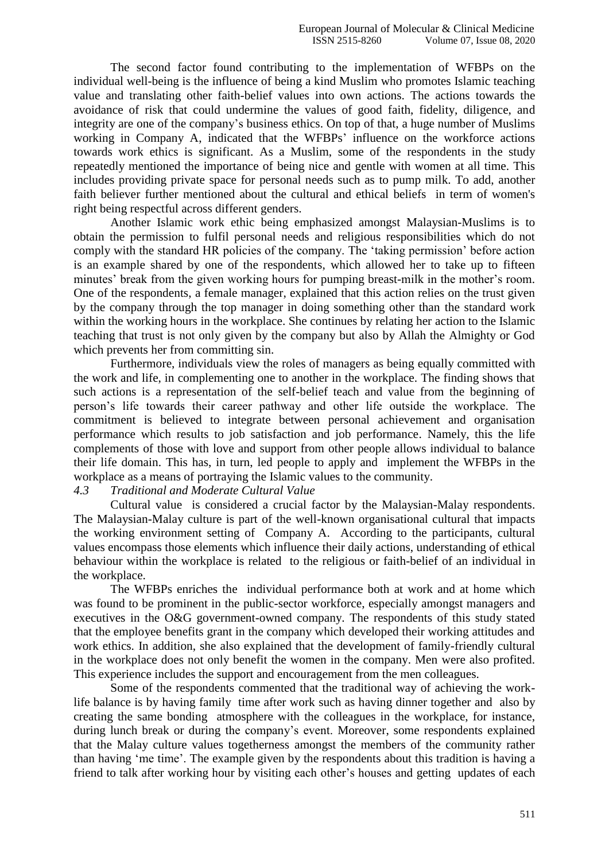The second factor found contributing to the implementation of WFBPs on the individual well-being is the influence of being a kind Muslim who promotes Islamic teaching value and translating other faith-belief values into own actions. The actions towards the avoidance of risk that could undermine the values of good faith, fidelity, diligence, and integrity are one of the company"s business ethics. On top of that, a huge number of Muslims working in Company A, indicated that the WFBPs' influence on the workforce actions towards work ethics is significant. As a Muslim, some of the respondents in the study repeatedly mentioned the importance of being nice and gentle with women at all time. This includes providing private space for personal needs such as to pump milk. To add, another faith believer further mentioned about the cultural and ethical beliefs in term of women's right being respectful across different genders.

Another Islamic work ethic being emphasized amongst Malaysian-Muslims is to obtain the permission to fulfil personal needs and religious responsibilities which do not comply with the standard HR policies of the company. The "taking permission" before action is an example shared by one of the respondents, which allowed her to take up to fifteen minutes' break from the given working hours for pumping breast-milk in the mother's room. One of the respondents, a female manager, explained that this action relies on the trust given by the company through the top manager in doing something other than the standard work within the working hours in the workplace. She continues by relating her action to the Islamic teaching that trust is not only given by the company but also by Allah the Almighty or God which prevents her from committing sin.

Furthermore, individuals view the roles of managers as being equally committed with the work and life, in complementing one to another in the workplace. The finding shows that such actions is a representation of the self-belief teach and value from the beginning of person"s life towards their career pathway and other life outside the workplace. The commitment is believed to integrate between personal achievement and organisation performance which results to job satisfaction and job performance. Namely, this the life complements of those with love and support from other people allows individual to balance their life domain. This has, in turn, led people to apply and implement the WFBPs in the workplace as a means of portraying the Islamic values to the community.

#### *4.3 Traditional and Moderate Cultural Value*

Cultural value is considered a crucial factor by the Malaysian-Malay respondents. The Malaysian-Malay culture is part of the well-known organisational cultural that impacts the working environment setting of Company A. According to the participants, cultural values encompass those elements which influence their daily actions, understanding of ethical behaviour within the workplace is related to the religious or faith-belief of an individual in the workplace.

The WFBPs enriches the individual performance both at work and at home which was found to be prominent in the public-sector workforce, especially amongst managers and executives in the O&G government-owned company. The respondents of this study stated that the employee benefits grant in the company which developed their working attitudes and work ethics. In addition, she also explained that the development of family-friendly cultural in the workplace does not only benefit the women in the company. Men were also profited. This experience includes the support and encouragement from the men colleagues.

Some of the respondents commented that the traditional way of achieving the worklife balance is by having family time after work such as having dinner together and also by creating the same bonding atmosphere with the colleagues in the workplace, for instance, during lunch break or during the company"s event. Moreover, some respondents explained that the Malay culture values togetherness amongst the members of the community rather than having "me time". The example given by the respondents about this tradition is having a friend to talk after working hour by visiting each other"s houses and getting updates of each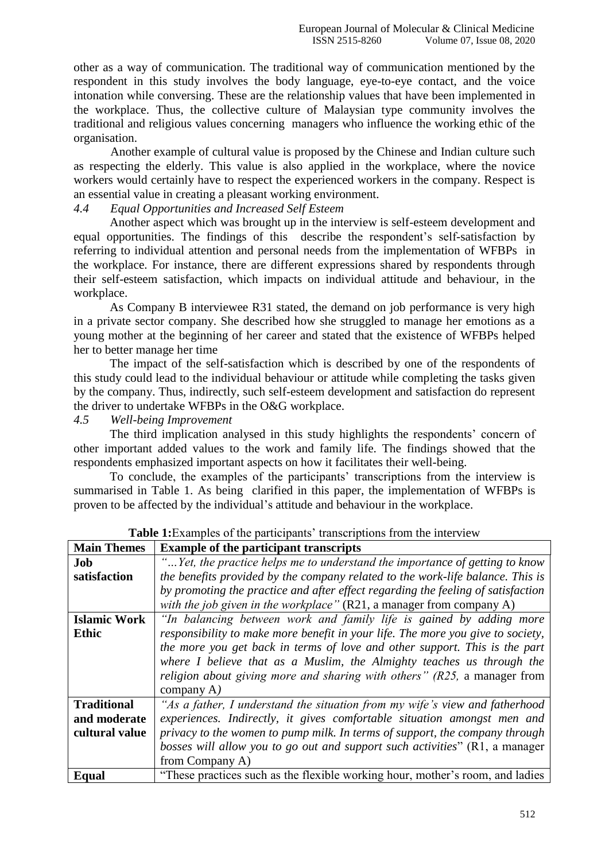other as a way of communication. The traditional way of communication mentioned by the respondent in this study involves the body language, eye-to-eye contact, and the voice intonation while conversing. These are the relationship values that have been implemented in the workplace. Thus, the collective culture of Malaysian type community involves the traditional and religious values concerning managers who influence the working ethic of the organisation.

Another example of cultural value is proposed by the Chinese and Indian culture such as respecting the elderly. This value is also applied in the workplace, where the novice workers would certainly have to respect the experienced workers in the company. Respect is an essential value in creating a pleasant working environment.

## *4.4 Equal Opportunities and Increased Self Esteem*

Another aspect which was brought up in the interview is self-esteem development and equal opportunities. The findings of this describe the respondent's self-satisfaction by referring to individual attention and personal needs from the implementation of WFBPs in the workplace. For instance, there are different expressions shared by respondents through their self-esteem satisfaction, which impacts on individual attitude and behaviour, in the workplace.

As Company B interviewee R31 stated, the demand on job performance is very high in a private sector company. She described how she struggled to manage her emotions as a young mother at the beginning of her career and stated that the existence of WFBPs helped her to better manage her time

The impact of the self-satisfaction which is described by one of the respondents of this study could lead to the individual behaviour or attitude while completing the tasks given by the company. Thus, indirectly, such self-esteem development and satisfaction do represent the driver to undertake WFBPs in the O&G workplace.

*4.5 Well-being Improvement*

The third implication analysed in this study highlights the respondents' concern of other important added values to the work and family life. The findings showed that the respondents emphasized important aspects on how it facilitates their well-being.

To conclude, the examples of the participants' transcriptions from the interview is summarised in Table 1. As being clarified in this paper, the implementation of WFBPs is proven to be affected by the individual"s attitude and behaviour in the workplace.

| <b>Main Themes</b>  | <b>Example of the participant transcripts</b>                                      |
|---------------------|------------------------------------------------------------------------------------|
| Job                 | "Yet, the practice helps me to understand the importance of getting to know        |
| satisfaction        | the benefits provided by the company related to the work-life balance. This is     |
|                     | by promoting the practice and after effect regarding the feeling of satisfaction   |
|                     | with the job given in the workplace" (R21, a manager from company A)               |
| <b>Islamic Work</b> | "In balancing between work and family life is gained by adding more                |
| <b>Ethic</b>        | responsibility to make more benefit in your life. The more you give to society,    |
|                     | the more you get back in terms of love and other support. This is the part         |
|                     | where I believe that as a Muslim, the Almighty teaches us through the              |
|                     | <i>religion about giving more and sharing with others</i> " $(R25, a$ manager from |
|                     | company $A$ )                                                                      |
| <b>Traditional</b>  | "As a father, I understand the situation from my wife's view and fatherhood        |
| and moderate        | experiences. Indirectly, it gives comfortable situation amongst men and            |
| cultural value      | privacy to the women to pump milk. In terms of support, the company through        |
|                     | bosses will allow you to go out and support such activities" (R1, a manager        |
|                     | from Company A)                                                                    |
| Equal               | "These practices such as the flexible working hour, mother's room, and ladies      |

**Table 1:**Examples of the participants' transcriptions from the interview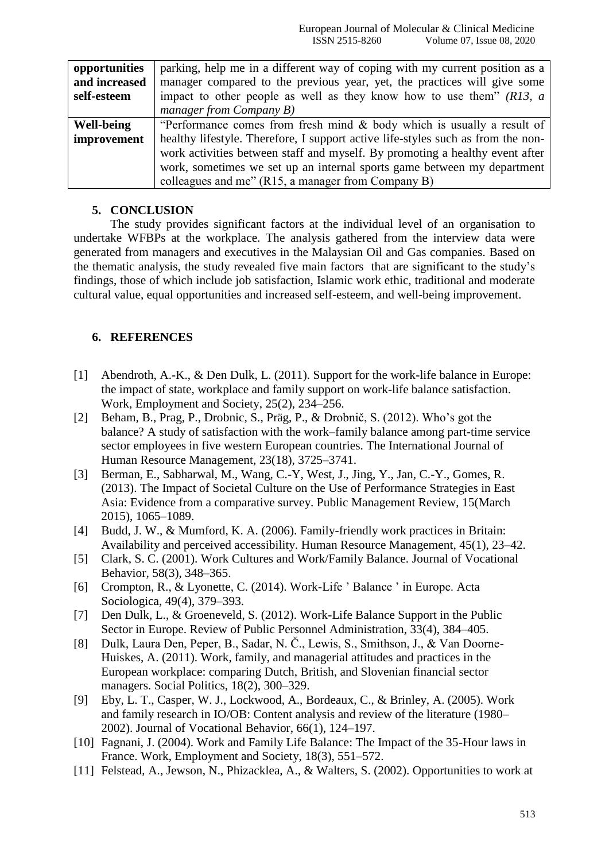| opportunities     | parking, help me in a different way of coping with my current position as a      |
|-------------------|----------------------------------------------------------------------------------|
| and increased     | manager compared to the previous year, yet, the practices will give some         |
| self-esteem       | impact to other people as well as they know how to use them" $(R13, a$           |
|                   | manager from Company $B$ )                                                       |
| <b>Well-being</b> | "Performance comes from fresh mind $\&$ body which is usually a result of        |
| improvement       | healthy lifestyle. Therefore, I support active life-styles such as from the non- |
|                   | work activities between staff and myself. By promoting a healthy event after     |
|                   | work, sometimes we set up an internal sports game between my department          |
|                   | colleagues and me" (R15, a manager from Company B)                               |

# **5. CONCLUSION**

The study provides significant factors at the individual level of an organisation to undertake WFBPs at the workplace. The analysis gathered from the interview data were generated from managers and executives in the Malaysian Oil and Gas companies. Based on the thematic analysis, the study revealed five main factors that are significant to the study"s findings, those of which include job satisfaction, Islamic work ethic, traditional and moderate cultural value, equal opportunities and increased self-esteem, and well-being improvement.

# **6. REFERENCES**

- [1] Abendroth, A.-K., & Den Dulk, L. (2011). Support for the work-life balance in Europe: the impact of state, workplace and family support on work-life balance satisfaction. Work, Employment and Society, 25(2), 234–256.
- [2] Beham, B., Prag, P., Drobnic, S., Präg, P., & Drobnič, S. (2012). Who"s got the balance? A study of satisfaction with the work–family balance among part-time service sector employees in five western European countries. The International Journal of Human Resource Management, 23(18), 3725–3741.
- [3] Berman, E., Sabharwal, M., Wang, C.-Y, West, J., Jing, Y., Jan, C.-Y., Gomes, R. (2013). The Impact of Societal Culture on the Use of Performance Strategies in East Asia: Evidence from a comparative survey. Public Management Review, 15(March 2015), 1065–1089.
- [4] Budd, J. W., & Mumford, K. A. (2006). Family-friendly work practices in Britain: Availability and perceived accessibility. Human Resource Management, 45(1), 23–42.
- [5] Clark, S. C. (2001). Work Cultures and Work/Family Balance. Journal of Vocational Behavior, 58(3), 348–365.
- [6] Crompton, R., & Lyonette, C. (2014). Work-Life " Balance " in Europe. Acta Sociologica, 49(4), 379–393.
- [7] Den Dulk, L., & Groeneveld, S. (2012). Work-Life Balance Support in the Public Sector in Europe. Review of Public Personnel Administration, 33(4), 384–405.
- [8] Dulk, Laura Den, Peper, B., Sadar, N. Č., Lewis, S., Smithson, J., & Van Doorne-Huiskes, A. (2011). Work, family, and managerial attitudes and practices in the European workplace: comparing Dutch, British, and Slovenian financial sector managers. Social Politics, 18(2), 300–329.
- [9] Eby, L. T., Casper, W. J., Lockwood, A., Bordeaux, C., & Brinley, A. (2005). Work and family research in IO/OB: Content analysis and review of the literature (1980– 2002). Journal of Vocational Behavior, 66(1), 124–197.
- [10] Fagnani, J. (2004). Work and Family Life Balance: The Impact of the 35-Hour laws in France. Work, Employment and Society, 18(3), 551–572.
- [11] Felstead, A., Jewson, N., Phizacklea, A., & Walters, S. (2002). Opportunities to work at